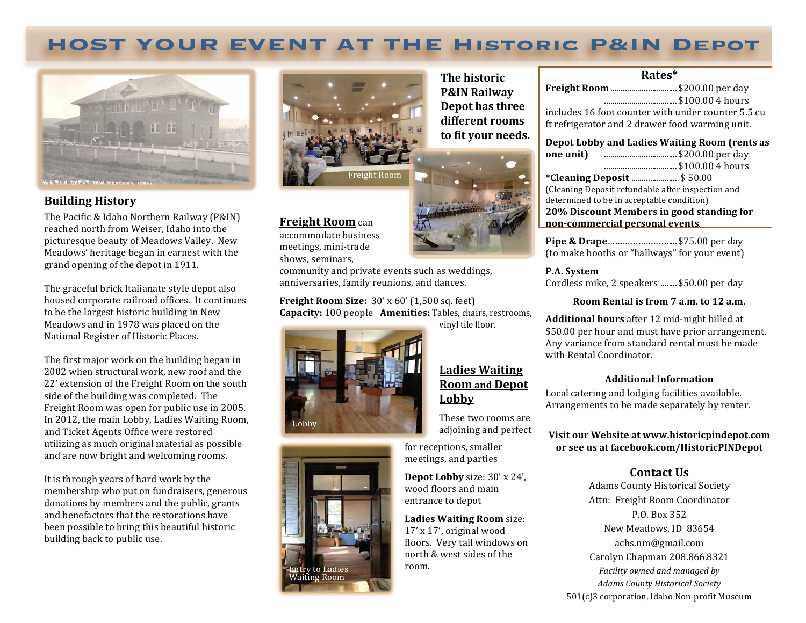# **HOST YOUR EVENT AT THE Historic P&IN Depot**



## **Building History**

The Pacific & Idaho Northern Railway (P&IN) reached north from Weiser, Idaho into the picturesque beauty of Meadows Valley. New Meadows' heritage began in earnest with the grand opening of the depot in 1911.

The graceful brick Italianate style depot also housed corporate railroad offices. It continues to be the largest historic building in New Meadows and in 1978 was placed on the National Register of Historic Places.

The first major work on the building began in 2002 when structural work, new roof and the 22' extension of the Freight Room on the south side of the building was completed. The Freight Room was open for public use in 2005. In 2012, the main Lobby, Ladies Waiting Room, and Ticket Agents Office were restored utilizing as much original material as possible and are now bright and welcoming rooms.

It is through years of hard work by the membership who put on fundraisers, generous donations by members and the public, grants and benefactors that the restorations have been possible to bring this beautiful historic building back to public use.



**The historic P&IN Railway Depot has three** different rooms to fit your needs.



### **Freight Room** can

accommodate business meetings, mini-trade shows, seminars,

community and private events such as weddings, anniversaries, family reunions, and dances.

**Freight Room Size:**  $30' \times 60'$  (1,500 sq. feet) **Capacity:** 100 people **Amenities:** Tables, chairs, restrooms,



# Ladies Waiting **Room** and Depot **Lobby**

These two rooms are adjoining and perfect

for receptions, smaller meetings, and parties

**Depot Lobby** size:  $30' \times 24'$ , wood floors and main entrance to depot

**Ladies Waiting Room** size: 17' x 17', original wood floors. Very tall windows on north & west sides of the room.

#### **Rates\***

| includes 16 foot counter with under counter 5.5 cu |
|----------------------------------------------------|
|                                                    |
| Depot Lobby and Ladies Waiting Room (rents as      |
|                                                    |
|                                                    |
|                                                    |
|                                                    |
|                                                    |

determined to be in acceptable condition) **20% Discount Members in good standing for non-commercial personal events**.

**Pipe & Drape**...............................\$75.00 per day (to make booths or "hallways" for your event)

#### **P.A.** System

Cordless mike, 2 speakers ........ \$50.00 per day

#### **Room Rental is from 7 a.m. to 12 a.m.**

**Additional hours** after 12 mid-night billed at \$50.00 per hour and must have prior arrangement. Any variance from standard rental must be made with Rental Coordinator.

#### **Additional Information**

Local catering and lodging facilities available. Arrangements to be made separately by renter.

**Visit our Website at www.historicpindepot.com** or see us at facebook.com/HistoricPINDepot

# **Contact Us**

Adams County Historical Societ Attn: Freight Room Coordinato New Meadows, ID 83654 Carolyn Chapman 208.866.8321*Facility owned and managed by Adams County Historical Society*  $501(c)3$  corporation, Idaho Non-profit Museum P.O. Box 352 achs.nm@gmail.com



**Entry to Ladies** Waiting Room